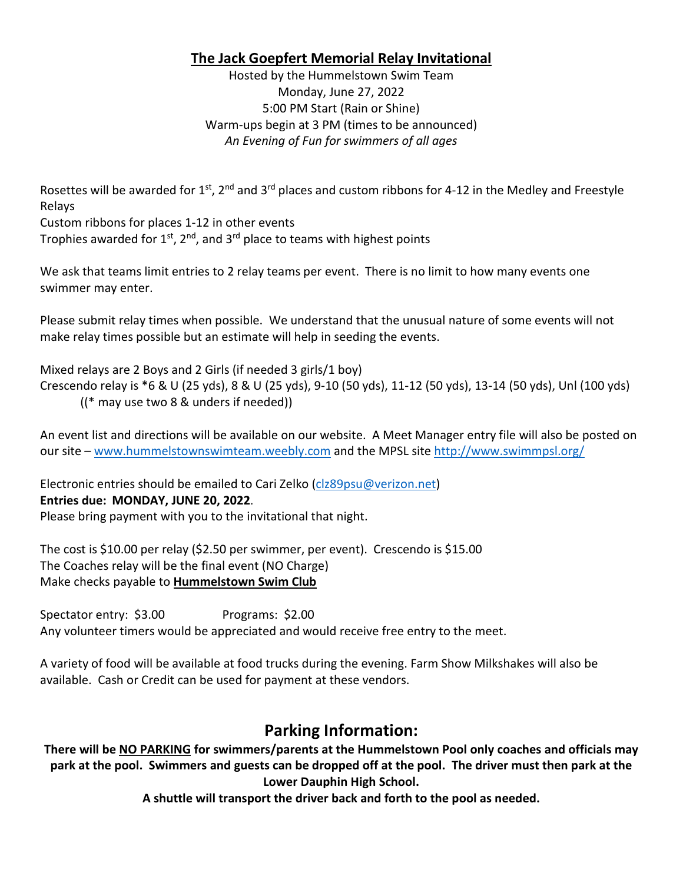## **The Jack Goepfert Memorial Relay Invitational**

Hosted by the Hummelstown Swim Team Monday, June 27, 2022 5:00 PM Start (Rain or Shine) Warm-ups begin at 3 PM (times to be announced) *An Evening of Fun for swimmers of all ages*

Rosettes will be awarded for 1st, 2<sup>nd</sup> and 3<sup>rd</sup> places and custom ribbons for 4-12 in the Medley and Freestyle Relays

Custom ribbons for places 1-12 in other events

Trophies awarded for  $1^{st}$ ,  $2^{nd}$ , and  $3^{rd}$  place to teams with highest points

We ask that teams limit entries to 2 relay teams per event. There is no limit to how many events one swimmer may enter.

Please submit relay times when possible. We understand that the unusual nature of some events will not make relay times possible but an estimate will help in seeding the events.

Mixed relays are 2 Boys and 2 Girls (if needed 3 girls/1 boy)

Crescendo relay is \*6 & U (25 yds), 8 & U (25 yds), 9-10 (50 yds), 11-12 (50 yds), 13-14 (50 yds), Unl (100 yds) ((\* may use two 8 & unders if needed))

An event list and directions will be available on our website. A Meet Manager entry file will also be posted on our site – www.hummelstownswimteam.weebly.com and the MPSL site<http://www.swimmpsl.org/>

Electronic entries should be emailed to Cari Zelko [\(clz89psu@verizon.net\)](mailto:clz89psu@verizon.net) **Entries due: MONDAY, JUNE 20, 2022**.

Please bring payment with you to the invitational that night.

The cost is \$10.00 per relay (\$2.50 per swimmer, per event). Crescendo is \$15.00 The Coaches relay will be the final event (NO Charge) Make checks payable to **Hummelstown Swim Club**

Spectator entry: \$3.00 Programs: \$2.00 Any volunteer timers would be appreciated and would receive free entry to the meet.

A variety of food will be available at food trucks during the evening. Farm Show Milkshakes will also be available. Cash or Credit can be used for payment at these vendors.

## **Parking Information:**

**There will be NO PARKING for swimmers/parents at the Hummelstown Pool only coaches and officials may park at the pool. Swimmers and guests can be dropped off at the pool. The driver must then park at the Lower Dauphin High School.**

**A shuttle will transport the driver back and forth to the pool as needed.**